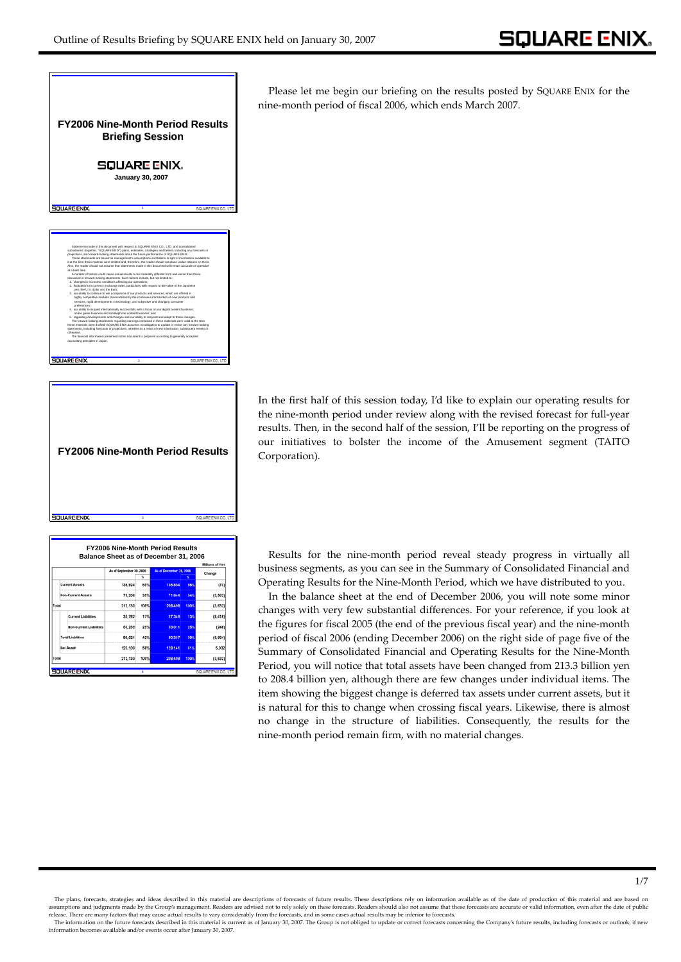1/7



**FY2006 Nine-Month Period Results SQUARE ENIX** 

**3**

|                                |                          |            |                         |            | Millions of Year |
|--------------------------------|--------------------------|------------|-------------------------|------------|------------------|
|                                | As of September 30, 2006 | u          | As of December 31, 2006 |            | Change           |
| <b>Current Assets</b>          | 136,924                  | 65%        | 136,854                 | <b>66%</b> | (70)             |
| <b>Non-Current Assets</b>      | 75.206                   | 35%        | 71,644                  | 34%        | (3, 562)         |
| Total                          | 212.130                  | 100%       | 208.498                 | 100%       | (3, 632)         |
| <b>Current Liabilities</b>     | 35.762                   | 17%        | 27.346                  | 13%        | (8.416)          |
| <b>Non-Current Liabilities</b> | 53,259                   | 25%        | 53.011                  | 25%        | (248)            |
| <b>Total Liabilities</b>       | 89.021                   | 42%        | 80.357                  | 39%        | (8.664)          |
| <b>Net Asset</b>               | 123.109                  | <b>SRN</b> | 128.141                 | 61%        | 5.032            |
| Total                          | 212 130                  | 100%       | 208,498                 | 100%       | (3, 632)         |

Please let me begin our briefing on the results posted by SQUARE ENIX for the nine-month period of fiscal 2006, which ends March 2007.

In the first half of this session today, I'd like to explain our operating results for the nine-month period under review along with the revised forecast for full-year results. Then, in the second half of the session, I'll be reporting on the progress of our initiatives to bolster the income of the Amusement segment (TAITO Corporation).

Results for the nine-month period reveal steady progress in virtually all business segments, as you can see in the Summary of Consolidated Financial and Operating Results for the Nine-Month Period, which we have distributed to you.

In the balance sheet at the end of December 2006, you will note some minor changes with very few substantial differences. For your reference, if you look at the figures for fiscal 2005 (the end of the previous fiscal year) and the nine-month period of fiscal 2006 (ending December 2006) on the right side of page five of the Summary of Consolidated Financial and Operating Results for the Nine-Month Period, you will notice that total assets have been changed from 213.3 billion yen to 208.4 billion yen, although there are few changes under individual items. The item showing the biggest change is deferred tax assets under current assets, but it is natural for this to change when crossing fiscal years. Likewise, there is almost no change in the structure of liabilities. Consequently, the results for the nine-month period remain firm, with no material changes.

The plans, forecasts, strategies and ideas described in this material are descriptions of forecasts of future results. These descriptions rely on information available as of the date of production of this material and are assumptions and judgments made by the Group's management. Readers are advised not to rely solely on these forecasts. Readers should also not assume that these forecasts are accurate or valid information, even after the dat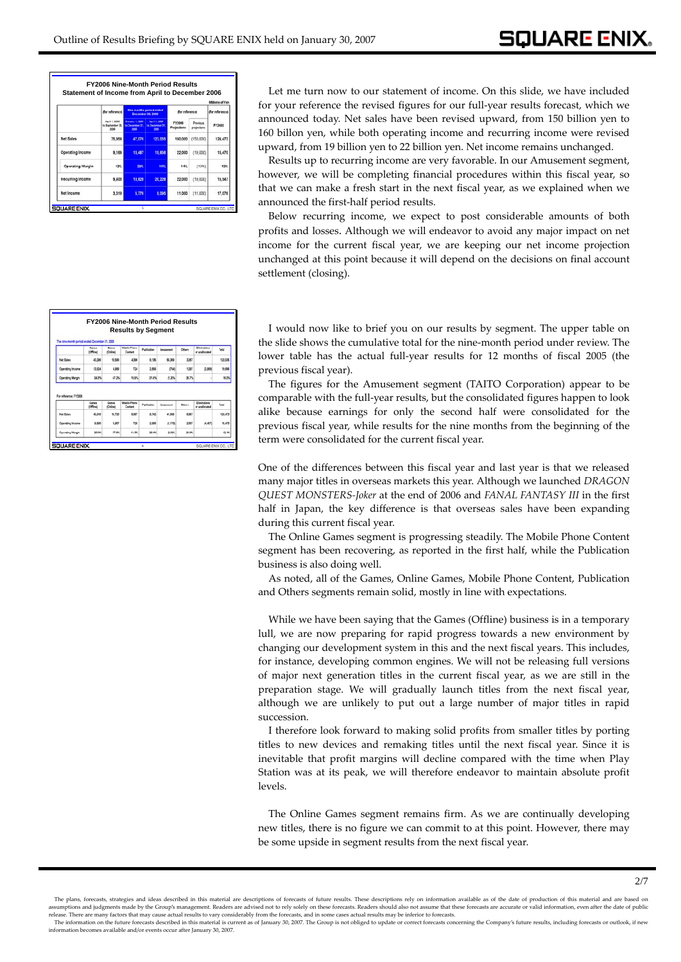|                         |                                          |                                                 |                                                               |                                     |                         | Millions of Yen |
|-------------------------|------------------------------------------|-------------------------------------------------|---------------------------------------------------------------|-------------------------------------|-------------------------|-----------------|
|                         | dur reference)                           |                                                 | Nine months period ended<br>December 38, 2008                 | for reference)                      |                         | dur reference)  |
|                         | April 1, 2006<br>Is September 30<br>3306 | Column 1, 2006<br>Sa December 31<br><b>SOFT</b> | <b>Auril 1, 2006</b><br><b>NA Ceramitar 31</b><br><b>SING</b> | <b>FY2006</b><br><b>Projections</b> | Previous<br>projections | <b>FY2005</b>   |
| <b>Net Sales</b>        | 75,959                                   | 47.076                                          | 123,035                                                       | 160,000                             | (150,000)               | 124.473         |
| Operating Income        | 9.169                                    | 10.487                                          | 19,656                                                        | 22,000                              | (19,000)                | 15,470          |
| <b>Operating Margin</b> | 12%                                      | 22%                                             | 18%                                                           | 14%                                 | (13%)                   | 12%             |
| Recurring Income        | 9.400                                    | 10.828                                          | 20,228                                                        | 22,000                              | (19,000)                | 15.547          |
| Net Income              | 3,319                                    | 5,776                                           | 9,095                                                         | 11,000                              | (11,000)                | 17,076          |

Let me turn now to our statement of income. On this slide, we have included for your reference the revised figures for our full-year results forecast, which we announced today. Net sales have been revised upward, from 150 billion yen to 160 billon yen, while both operating income and recurring income were revised upward, from 19 billion yen to 22 billion yen. Net income remains unchanged.

Results up to recurring income are very favorable. In our Amusement segment, however, we will be completing financial procedures within this fiscal year, so that we can make a fresh start in the next fiscal year, as we explained when we announced the first-half period results.

Below recurring income, we expect to post considerable amounts of both profits and losses. Although we will endeavor to avoid any major impact on net income for the current fiscal year, we are keeping our net income projection unchanged at this point because it will depend on the decisions on final account settlement (closing).

|                                                  | The rate month period ended December 31, 2008 |                   |                                |             |           |        |                                |                          |
|--------------------------------------------------|-----------------------------------------------|-------------------|--------------------------------|-------------|-----------|--------|--------------------------------|--------------------------|
|                                                  | Gunes<br><b>IOffine</b>                       | Ganes<br>(Online) | <b>Mabile Phane</b><br>Contant | Publication | Anusement | Others | Elminations<br>or unaliacated  | Tetal                    |
| <b>Net Sales</b>                                 | 40,298                                        | 10,568            | 4,396                          | 8.536       | 56,303    | 3,267  |                                | 123.036                  |
| <b>Coerating Income</b>                          | 13,824                                        | 4,998             | 726                            | 2,555       | O541      | 1297   | 0.989                          | 19.056                   |
|                                                  |                                               |                   |                                |             |           |        |                                |                          |
|                                                  | 34.7%                                         | 47.7%             | 16.0%                          | 31.4%       | (1,375,   | 39.7%  |                                |                          |
| <b>Operating Margin</b><br>For reference: F12005 | Ganes<br>(Office)                             | Games<br>(Online) | <b>Mobile Phone</b><br>Contant | Publication | Angermann | Others | Eliminations<br>or unaliseated | Tetal                    |
| <b>Net Sales</b>                                 | 45,916                                        | 15,720            | 5.067                          | 9.742       | 41.069    | 6.957  |                                |                          |
| <b>Coerating Income</b>                          | 9.590                                         | 5.907             | 726                            | 2,868       | (1, 170)  | 2.007  | (4,457)                        | MPN<br>134,473<br>15,470 |

I would now like to brief you on our results by segment. The upper table on the slide shows the cumulative total for the nine-month period under review. The lower table has the actual full-year results for 12 months of fiscal 2005 (the previous fiscal year).

The figures for the Amusement segment (TAITO Corporation) appear to be comparable with the full-year results, but the consolidated figures happen to look alike because earnings for only the second half were consolidated for the previous fiscal year, while results for the nine months from the beginning of the term were consolidated for the current fiscal year.

One of the differences between this fiscal year and last year is that we released many major titles in overseas markets this year. Although we launched *DRAGON QUEST MONSTERS-Joker* at the end of 2006 and *FANAL FANTASY III* in the first half in Japan, the key difference is that overseas sales have been expanding during this current fiscal year.

The Online Games segment is progressing steadily. The Mobile Phone Content segment has been recovering, as reported in the first half, while the Publication business is also doing well.

As noted, all of the Games, Online Games, Mobile Phone Content, Publication and Others segments remain solid, mostly in line with expectations.

While we have been saying that the Games (Offline) business is in a temporary lull, we are now preparing for rapid progress towards a new environment by changing our development system in this and the next fiscal years. This includes, for instance, developing common engines. We will not be releasing full versions of major next generation titles in the current fiscal year, as we are still in the preparation stage. We will gradually launch titles from the next fiscal year, although we are unlikely to put out a large number of major titles in rapid succession.

I therefore look forward to making solid profits from smaller titles by porting titles to new devices and remaking titles until the next fiscal year. Since it is inevitable that profit margins will decline compared with the time when Play Station was at its peak, we will therefore endeavor to maintain absolute profit levels.

The Online Games segment remains firm. As we are continually developing new titles, there is no figure we can commit to at this point. However, there may be some upside in segment results from the next fiscal year.

The plans, forecasts, strategies and ideas described in this material are descriptions of forecasts of future results. These descriptions rely on information available as of the date of production of this material and are sumptions and judgments made by the Group's management. Readers are advised not to rely solely on these forecasts. Readers should also not assume that these forecasts are accurate or valid information, even after the date release. There are many factors that may cause actual results to vary considerably from the forecasts, and in some cases actual results may be inferior to forecasts. The information on the future forecasts described in this material is current as of January 30, 2007. The Group is not obliged to update or correct forecasts concerning the Company's future results, including forecasts or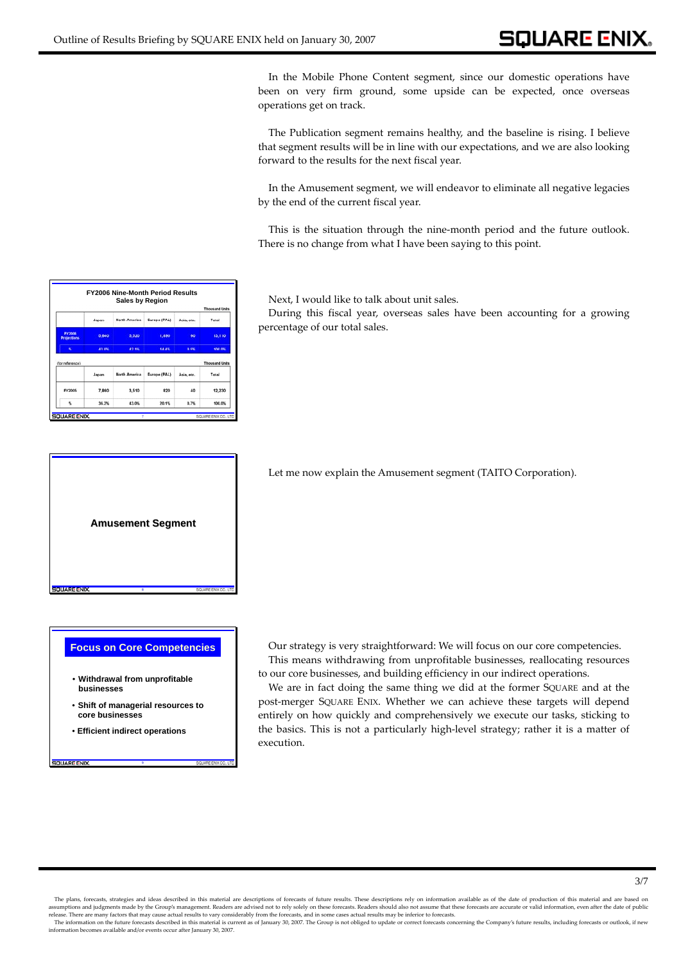## **SQUARE ENIX**

In the Mobile Phone Content segment, since our domestic operations have been on very firm ground, some upside can be expected, once overseas operations get on track.

The Publication segment remains healthy, and the baseline is rising. I believe that segment results will be in line with our expectations, and we are also looking forward to the results for the next fiscal year.

In the Amusement segment, we will endeavor to eliminate all negative legacies by the end of the current fiscal year.

This is the situation through the nine-month period and the future outlook. There is no change from what I have been saying to this point.

Next, I would like to talk about unit sales.

During this fiscal year, overseas sales have been accounting for a growing percentage of our total sales.

Let me now explain the Amusement segment (TAITO Corporation).

**Focus on Core Competencies**

- **Withdrawal from unprofitable businesses**
- **Shift of managerial resources to core businesses**

**9**

• **Efficient indirect operations**

**SQUARE ENIX** 

Our strategy is very straightforward: We will focus on our core competencies. This means withdrawing from unprofitable businesses, reallocating resources to our core businesses, and building efficiency in our indirect operations.

We are in fact doing the same thing we did at the former SQUARE and at the post-merger SQUARE ENIX. Whether we can achieve these targets will depend entirely on how quickly and comprehensively we execute our tasks, sticking to the basics. This is not a particularly high-level strategy; rather it is a matter of execution.

**FY2006 Nine-Month Period Results** North America Europe (PAL) **Lance** Acia ata .<br>ادامه **S Soc Rac** is in Japan North America Europe (PAL) Asia, etc. Total FY2005 7.860 3.510 820 40 12.230 36.2% 43.0% 20.1% 0.7% 100.05



The plans, forecasts, strategies and ideas described in this material are descriptions of forecasts of future results. These descriptions rely on information available as of the date of production of this material and are assumptions and judgments made by the Group's management. Readers are advised not to rely solely on these forecasts. Readers should also not assume that these forecasts are accurate or valid information, even after the dat

The information on the future forecasts described in this material is current as of January 30, 2007. The Group is not obliged to update or correct forecasts concerning the Company's future results, including forecasts or information becomes available and/or events occur after January 30, 2007.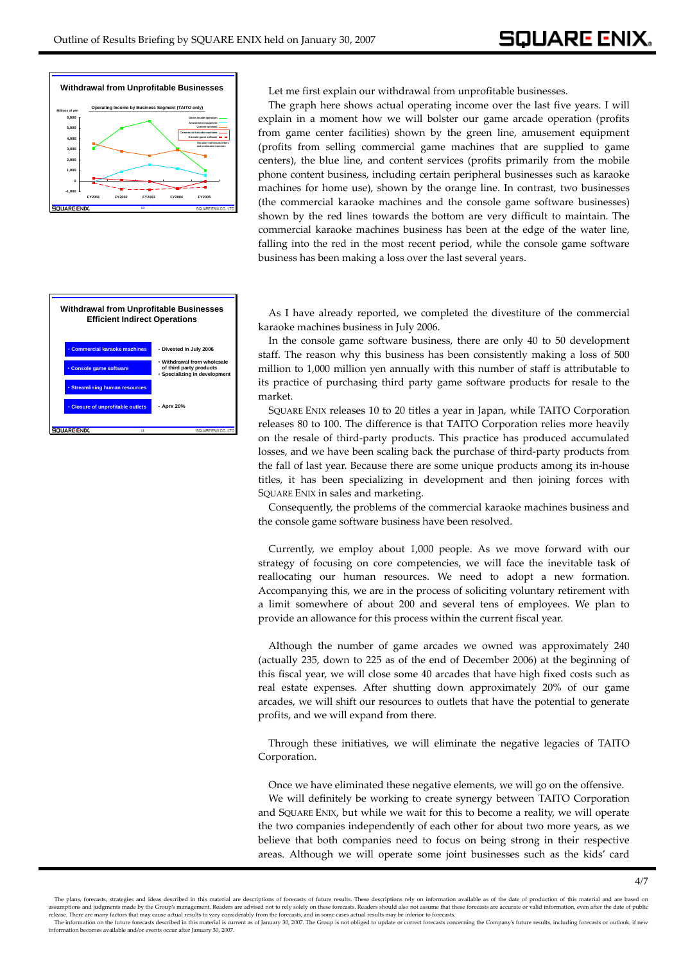

Let me first explain our withdrawal from unprofitable businesses.

The graph here shows actual operating income over the last five years. I will explain in a moment how we will bolster our game arcade operation (profits from game center facilities) shown by the green line, amusement equipment (profits from selling commercial game machines that are supplied to game centers), the blue line, and content services (profits primarily from the mobile phone content business, including certain peripheral businesses such as karaoke machines for home use), shown by the orange line. In contrast, two businesses (the commercial karaoke machines and the console game software businesses) shown by the red lines towards the bottom are very difficult to maintain. The commercial karaoke machines business has been at the edge of the water line, falling into the red in the most recent period, while the console game software business has been making a loss over the last several years.



As I have already reported, we completed the divestiture of the commercial karaoke machines business in July 2006.

In the console game software business, there are only 40 to 50 development staff. The reason why this business has been consistently making a loss of 500 million to 1,000 million yen annually with this number of staff is attributable to its practice of purchasing third party game software products for resale to the market.

SQUARE ENIX releases 10 to 20 titles a year in Japan, while TAITO Corporation releases 80 to 100. The difference is that TAITO Corporation relies more heavily on the resale of third-party products. This practice has produced accumulated losses, and we have been scaling back the purchase of third-party products from the fall of last year. Because there are some unique products among its in-house titles, it has been specializing in development and then joining forces with SQUARE ENIX in sales and marketing.

Consequently, the problems of the commercial karaoke machines business and the console game software business have been resolved.

Currently, we employ about 1,000 people. As we move forward with our strategy of focusing on core competencies, we will face the inevitable task of reallocating our human resources. We need to adopt a new formation. Accompanying this, we are in the process of soliciting voluntary retirement with a limit somewhere of about 200 and several tens of employees. We plan to provide an allowance for this process within the current fiscal year.

Although the number of game arcades we owned was approximately 240 (actually 235, down to 225 as of the end of December 2006) at the beginning of this fiscal year, we will close some 40 arcades that have high fixed costs such as real estate expenses. After shutting down approximately 20% of our game arcades, we will shift our resources to outlets that have the potential to generate profits, and we will expand from there.

Through these initiatives, we will eliminate the negative legacies of TAITO Corporation.

Once we have eliminated these negative elements, we will go on the offensive. We will definitely be working to create synergy between TAITO Corporation and SQUARE ENIX, but while we wait for this to become a reality, we will operate the two companies independently of each other for about two more years, as we believe that both companies need to focus on being strong in their respective areas. Although we will operate some joint businesses such as the kids' card

The plans, forecasts, strategies and ideas described in this material are descriptions of forecasts of future results. These descriptions rely on information available as of the date of production of this material and are sumptions and judgments made by the Group's management. Readers are advised not to rely solely on these forecasts. Readers should also not assume that these forecasts are accurate or valid information, even after the date release. There are many factors that may cause actual results to vary considerably from the forecasts, and in some cases actual results may be inferior to forecasts.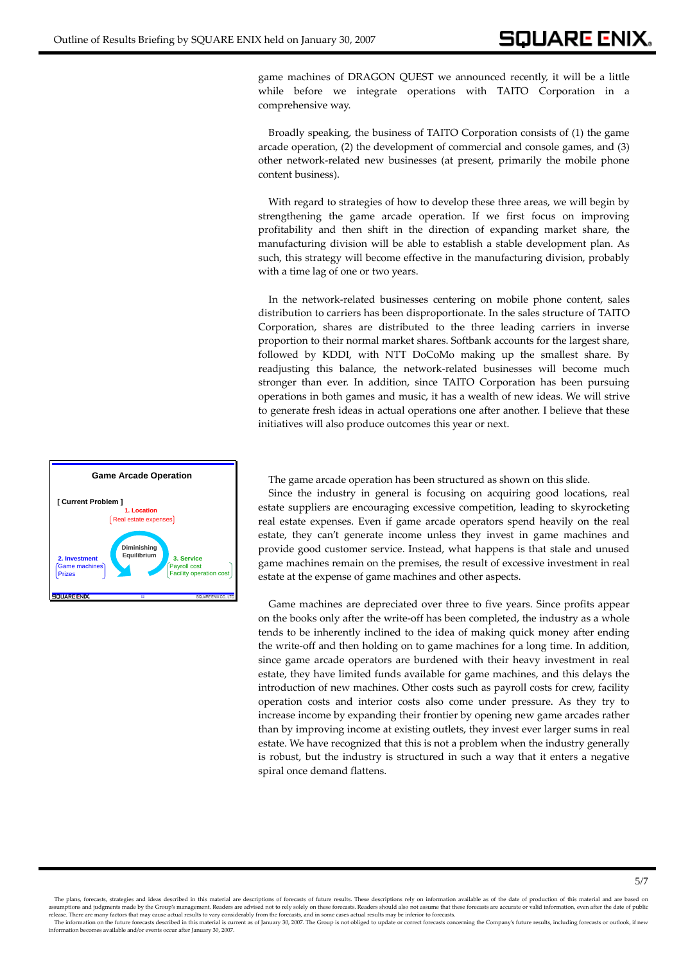game machines of DRAGON QUEST we announced recently, it will be a little while before we integrate operations with TAITO Corporation in a comprehensive way.

Broadly speaking, the business of TAITO Corporation consists of (1) the game arcade operation, (2) the development of commercial and console games, and (3) other network-related new businesses (at present, primarily the mobile phone content business).

With regard to strategies of how to develop these three areas, we will begin by strengthening the game arcade operation. If we first focus on improving profitability and then shift in the direction of expanding market share, the manufacturing division will be able to establish a stable development plan. As such, this strategy will become effective in the manufacturing division, probably with a time lag of one or two years.

In the network-related businesses centering on mobile phone content, sales distribution to carriers has been disproportionate. In the sales structure of TAITO Corporation, shares are distributed to the three leading carriers in inverse proportion to their normal market shares. Softbank accounts for the largest share, followed by KDDI, with NTT DoCoMo making up the smallest share. By readjusting this balance, the network-related businesses will become much stronger than ever. In addition, since TAITO Corporation has been pursuing operations in both games and music, it has a wealth of new ideas. We will strive to generate fresh ideas in actual operations one after another. I believe that these initiatives will also produce outcomes this year or next.

**Game Arcade Operation** The game arcade operation has been structured as shown on this slide.

Since the industry in general is focusing on acquiring good locations, real estate suppliers are encouraging excessive competition, leading to skyrocketing real estate expenses. Even if game arcade operators spend heavily on the real estate, they can't generate income unless they invest in game machines and provide good customer service. Instead, what happens is that stale and unused game machines remain on the premises, the result of excessive investment in real estate at the expense of game machines and other aspects.

Game machines are depreciated over three to five years. Since profits appear on the books only after the write-off has been completed, the industry as a whole tends to be inherently inclined to the idea of making quick money after ending the write-off and then holding on to game machines for a long time. In addition, since game arcade operators are burdened with their heavy investment in real estate, they have limited funds available for game machines, and this delays the introduction of new machines. Other costs such as payroll costs for crew, facility operation costs and interior costs also come under pressure. As they try to increase income by expanding their frontier by opening new game arcades rather than by improving income at existing outlets, they invest ever larger sums in real estate. We have recognized that this is not a problem when the industry generally is robust, but the industry is structured in such a way that it enters a negative spiral once demand flattens.



The plans, forecasts, strategies and ideas described in this material are descriptions of forecasts of future results. These descriptions rely on information available as of the date of production of this material and are assumptions and judgments made by the Group's management. Readers are advised not to rely solely on these forecasts. Readers should also not assume that these forecasts are accurate or valid information, even after the dat

The information on the future forecasts described in this material is current as of January 30, 2007. The Group is not obliged to update or correct forecasts concerning the Company's future results, including forecasts or information becomes available and/or events occur after January 30, 2007.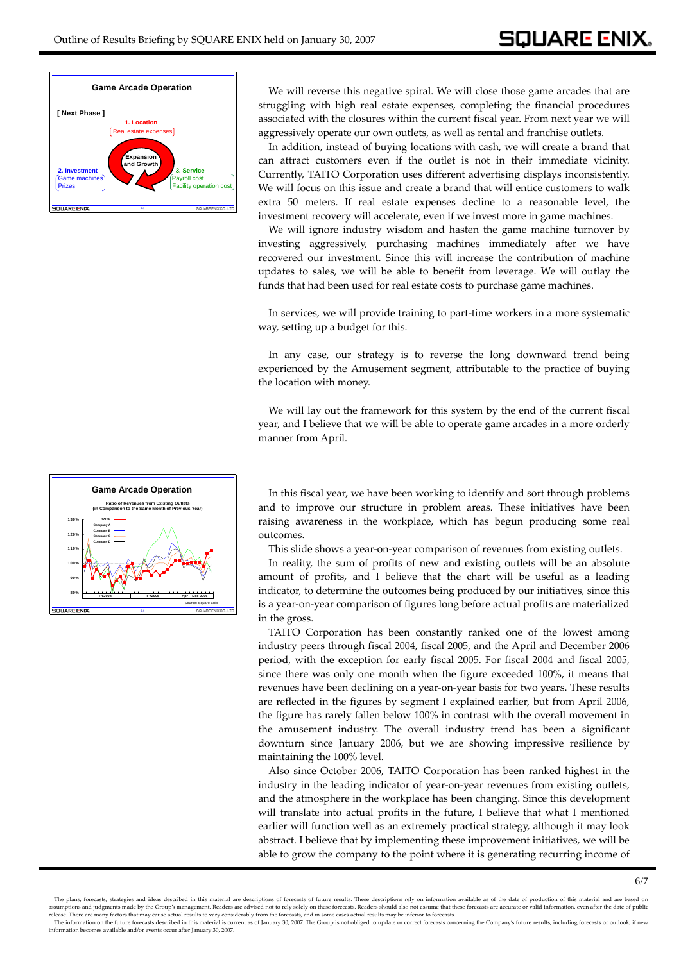

We will reverse this negative spiral. We will close those game arcades that are struggling with high real estate expenses, completing the financial procedures associated with the closures within the current fiscal year. From next year we will aggressively operate our own outlets, as well as rental and franchise outlets.

In addition, instead of buying locations with cash, we will create a brand that can attract customers even if the outlet is not in their immediate vicinity. Currently, TAITO Corporation uses different advertising displays inconsistently. We will focus on this issue and create a brand that will entice customers to walk extra 50 meters. If real estate expenses decline to a reasonable level, the investment recovery will accelerate, even if we invest more in game machines.

We will ignore industry wisdom and hasten the game machine turnover by investing aggressively, purchasing machines immediately after we have recovered our investment. Since this will increase the contribution of machine updates to sales, we will be able to benefit from leverage. We will outlay the funds that had been used for real estate costs to purchase game machines.

In services, we will provide training to part-time workers in a more systematic way, setting up a budget for this.

In any case, our strategy is to reverse the long downward trend being experienced by the Amusement segment, attributable to the practice of buying the location with money.

We will lay out the framework for this system by the end of the current fiscal year, and I believe that we will be able to operate game arcades in a more orderly manner from April.

**Ratio of Revenues from Existing Outlets (in Comparison to the Same Month of Previous Year) 130% TAITO Company A 120% Company B Company C Company D 110% 100% 90% 80% FY2004 FY2005 Apr – Dec 2006** Source: Square Enix **COLLA DE ENI 14**

information becomes available and/or events occur after January 30, 2007.

**Game Arcade Operation** In this fiscal year, we have been working to identify and sort through problems and to improve our structure in problem areas. These initiatives have been raising awareness in the workplace, which has begun producing some real outcomes.

This slide shows a year-on-year comparison of revenues from existing outlets.

In reality, the sum of profits of new and existing outlets will be an absolute amount of profits, and I believe that the chart will be useful as a leading indicator, to determine the outcomes being produced by our initiatives, since this is a year-on-year comparison of figures long before actual profits are materialized in the gross.

TAITO Corporation has been constantly ranked one of the lowest among industry peers through fiscal 2004, fiscal 2005, and the April and December 2006 period, with the exception for early fiscal 2005. For fiscal 2004 and fiscal 2005, since there was only one month when the figure exceeded 100%, it means that revenues have been declining on a year-on-year basis for two years. These results are reflected in the figures by segment I explained earlier, but from April 2006, the figure has rarely fallen below 100% in contrast with the overall movement in the amusement industry. The overall industry trend has been a significant downturn since January 2006, but we are showing impressive resilience by maintaining the 100% level.

Also since October 2006, TAITO Corporation has been ranked highest in the industry in the leading indicator of year-on-year revenues from existing outlets, and the atmosphere in the workplace has been changing. Since this development will translate into actual profits in the future, I believe that what I mentioned earlier will function well as an extremely practical strategy, although it may look abstract. I believe that by implementing these improvement initiatives, we will be able to grow the company to the point where it is generating recurring income of